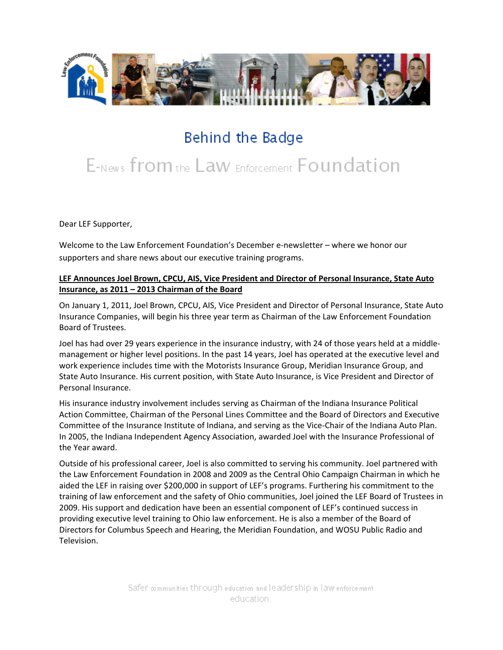

## Behind the Badge

# E-News from the Law Enforcement Foundation

Dear LEF Supporter,

Welcome to the Law Enforcement Foundation's December e-newsletter – where we honor our supporters and share news about our executive training programs.

#### **LEF Announces Joel Brown, CPCU, AIS, Vice President and Director of Personal Insurance, State Auto Insurance, as 2011 – 2013 Chairman of the Board**

On January 1, 2011, Joel Brown, CPCU, AIS, Vice President and Director of Personal Insurance, State Auto Insurance Companies, will begin his three year term as Chairman of the Law Enforcement Foundation Board of Trustees.

Joel has had over 29 years experience in the insurance industry, with 24 of those years held at a middle‐ management or higher level positions. In the past 14 years, Joel has operated at the executive level and work experience includes time with the Motorists Insurance Group, Meridian Insurance Group, and State Auto Insurance. His current position, with State Auto Insurance, is Vice President and Director of Personal Insurance.

His insurance industry involvement includes serving as Chairman of the Indiana Insurance Political Action Committee, Chairman of the Personal Lines Committee and the Board of Directors and Executive Committee of the Insurance Institute of Indiana, and serving as the Vice‐Chair of the Indiana Auto Plan. In 2005, the Indiana Independent Agency Association, awarded Joel with the Insurance Professional of the Year award.

Outside of his professional career, Joel is also committed to serving his community. Joel partnered with the Law Enforcement Foundation in 2008 and 2009 as the Central Ohio Campaign Chairman in which he aided the LEF in raising over \$200,000 in support of LEF's programs. Furthering his commitment to the training of law enforcement and the safety of Ohio communities, Joel joined the LEF Board of Trustees in 2009. His support and dedication have been an essential component of LEF's continued success in providing executive level training to Ohio law enforcement. He is also a member of the Board of Directors for Columbus Speech and Hearing, the Meridian Foundation, and WOSU Public Radio and Television.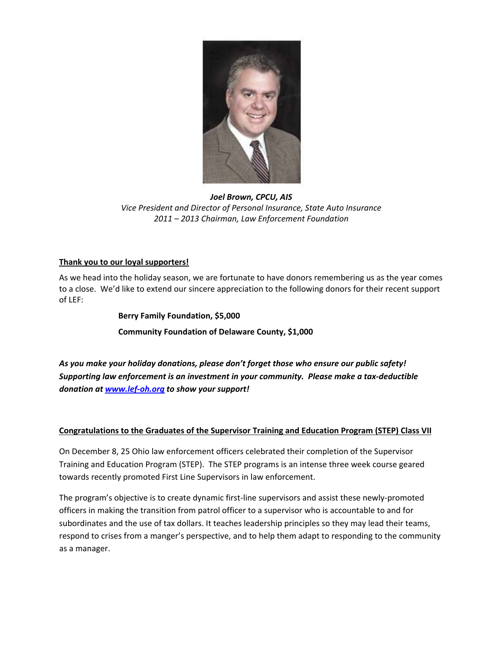

*Joel Brown, CPCU, AIS Vice President and Director of Personal Insurance, State Auto Insurance 2011 – 2013 Chairman, Law Enforcement Foundation*

#### **Thank you to our loyal supporters!**

As we head into the holiday season, we are fortunate to have donors remembering us as the year comes to a close. We'd like to extend our sincere appreciation to the following donors for their recent support of LEF:

> **Berry Family Foundation, \$5,000 Community Foundation of Delaware County, \$1,000**

*As you make your holiday donations, please don't forget those who ensure our public safety! Supporting law enforcement is an investment in your community. Please make a tax‐deductible donation at [www.lef](http://www.lef-oh.org/)‐oh.org to show your support!*

#### **Congratulations to the Graduates of the Supervisor Training and Education Program (STEP) Class VII**

On December 8, 25 Ohio law enforcement officers celebrated their completion of the Supervisor Training and Education Program (STEP). The STEP programs is an intense three week course geared towards recently promoted First Line Supervisors in law enforcement.

The program's objective is to create dynamic first‐line supervisors and assist these newly‐promoted officers in making the transition from patrol officer to a supervisor who is accountable to and for subordinates and the use of tax dollars. It teaches leadership principles so they may lead their teams, respond to crises from a manger's perspective, and to help them adapt to responding to the community as a manager.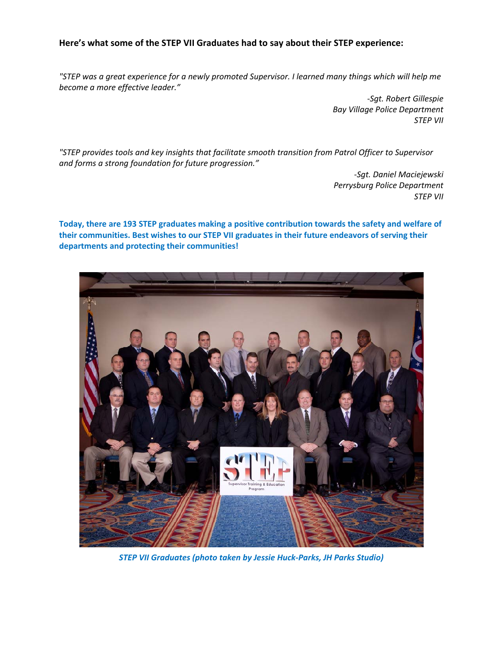#### **Here's what some of the STEP VII Graduates had to say about their STEP experience:**

"STEP was a great experience for a newly promoted Supervisor. I learned many things which will help me *become a more effective leader."*

> *‐Sgt. Robert Gillespie Bay Village Police Department STEP VII*

*"STEP provides tools and key insights that facilitate smooth transition from Patrol Officer to Supervisor and forms a strong foundation for future progression."*

> *‐Sgt. Daniel Maciejewski Perrysburg Police Department STEP VII*

**Today, there are 193 STEP graduates making a positive contribution towards the safety and welfare of their communities. Best wishes to our STEP VII graduates in their future endeavors of serving their departments and protecting their communities!**



*STEP VII Graduates (photo taken by Jessie Huck‐Parks, JH Parks Studio)*